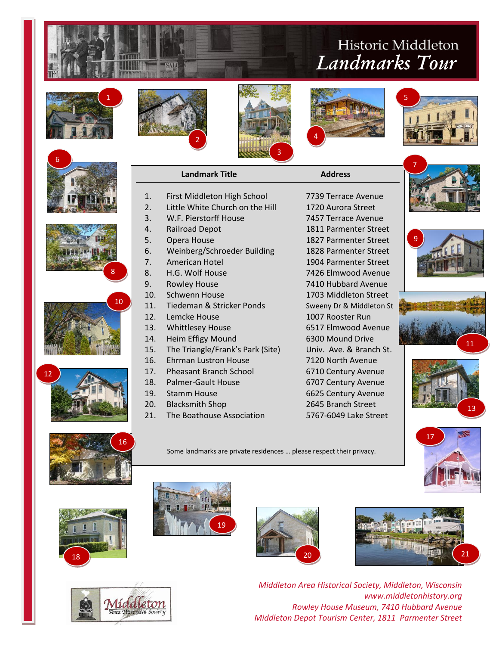## Historic Middleton *Landmarks Tour*

5



6

12









1. First Middleton High School 7739 Terrace Avenue 2. Little White Church on the Hill 1720 Aurora Street















8

10

Some landmarks are private residences … please respect their privacy.











*Middleton Area Historical Society, Middleton, Wisconsin www.middletonhistory.org Rowley House Museum, 7410 Hubbard Avenue Middleton Depot Tourism Center, 1811 Parmenter Street*







14. Heim Effigy Mound 6300 Mound Drive 15. The Triangle/Frank's Park (Site) Univ. Ave. & Branch St. 16. Ehrman Lustron House 7120 North Avenue

- 
- 
- 
- 20. Blacksmith Shop 2645 Branch Street
- 21. The Boathouse Association 5767-6049 Lake Street

3. W.F. Pierstorff House 7457 Terrace Avenue 4. Railroad Depot 1811 Parmenter Street 5. Opera House 1827 Parmenter Street 6. Weinberg/Schroeder Building 1828 Parmenter Street 7. American Hotel 1904 Parmenter Street 8. H.G. Wolf House 7426 Elmwood Avenue 9. Rowley House 7410 Hubbard Avenue 10. Schwenn House 1703 Middleton Street 11. Tiedeman & Stricker Ponds Sweeny Dr & Middleton St 12. Lemcke House 1007 Rooster Run 13. Whittlesey House 6517 Elmwood Avenue

17. Pheasant Branch School 6710 Century Avenue 18. Palmer-Gault House 6707 Century Avenue 19. Stamm House 6625 Century Avenue